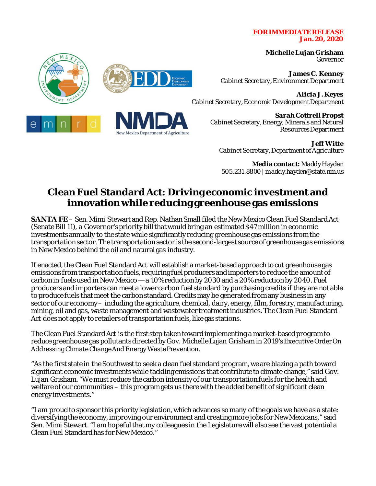## **FOR IMMEDIATE RELEASE Jan. 20, 2020**

**Michelle Lujan Grisham** Governor

**James C. Kenney** Cabinet Secretary, Environment Department

**Alicia J. Keyes** Cabinet Secretary, Economic Development Department

> **Sarah Cottrell Propst** Cabinet Secretary, Energy, Minerals and Natural Resources Department

**Jeff Witte** Cabinet Secretary, Department of Agriculture

**Media contact:** Maddy Hayden 505.231.8800 | maddy.hayden@state.nm.us

## **Clean Fuel Standard Act: Driving economic investment and innovation while reducing greenhouse gas emissions**

**SANTA FE**– Sen. Mimi Stewart and Rep. Nathan Small filed the New Mexico Clean Fuel Standard Act (Senate Bill 11), a Governor's priority bill that wouldbring an estimated \$47 million in economic investments annually to the state while significantly reducing greenhouse gas emissions from the transportation sector. The transportation sector is the second-largest source of greenhouse gas emissions in New Mexico behind the oil and natural gas industry.

If enacted, the Clean Fuel Standard Act will establish a market-based approach to cut greenhouse gas emissions from transportation fuels, requiring fuel producers and importers to reduce the amount of carbon in fuelsused in New Mexico — a 10% reduction by 2030 and a 20% reduction by 2040. Fuel producers and importers can meet a lower carbon fuel standard by purchasing credits if they are not able to produce fuels that meet the carbon standard. Credits may be generated from any business in any sector of our economy – including the agriculture, chemical, dairy, energy, film, forestry, manufacturing, mining, oil and gas, waste management and wastewater treatmentindustries. The Clean Fuel Standard Act does not apply to retailers of transportation fuels, like gas stations.

The Clean Fuel Standard Act is the first step taken toward implementing a market-based program to reduce greenhouse gas pollutants directed by Gov. Michelle Lujan Grisham in 2019'sExecutive Order On Addressing Climate Change And Energy Waste Prevention.

"As the first state in the Southwest to seek a clean fuel standard program, we are blazing a path toward significant economic investmentswhile tackling emissions that contribute to climate change," said Gov. Lujan Grisham. "We must reduce the carbon intensity of our transportation fuels for the health and welfare of our communities – this program gets us there with the added benefit of significant clean energy investments."

"I am proud to sponsor this priority legislation, which advances so many of the goals we have as a state: diversifying the economy, improving our environment and creating more jobs for New Mexicans," said Sen. Mimi Stewart. "I am hopeful that my colleagues in the Legislature will also see the vast potential a Clean Fuel Standard has for New Mexico."



New Mexico Department of Agriculture